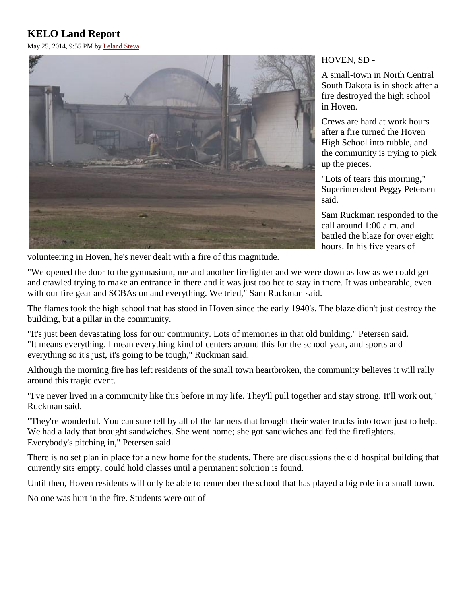# **KELO Land Report**

May 25, 2014, 9:55 PM b[y Leland Steva](mailto:lsteva@keloland.com)



HOVEN, SD -

A small-town in North Central South Dakota is in shock after a fire destroyed the high school in Hoven.

Crews are hard at work hours after a fire turned the Hoven High School into rubble, and the community is trying to pick up the pieces.

"Lots of tears this morning," Superintendent Peggy Petersen said.

Sam Ruckman responded to the call around 1:00 a.m. and battled the blaze for over eight hours. In his five years of

volunteering in Hoven, he's never dealt with a fire of this magnitude.

"We opened the door to the gymnasium, me and another firefighter and we were down as low as we could get and crawled trying to make an entrance in there and it was just too hot to stay in there. It was unbearable, even with our fire gear and SCBAs on and everything. We tried," Sam Ruckman said.

The flames took the high school that has stood in Hoven since the early 1940's. The blaze didn't just destroy the building, but a pillar in the community.

"It's just been devastating loss for our community. Lots of memories in that old building," Petersen said. "It means everything. I mean everything kind of centers around this for the school year, and sports and everything so it's just, it's going to be tough," Ruckman said.

Although the morning fire has left residents of the small town heartbroken, the community believes it will rally around this tragic event.

"I've never lived in a community like this before in my life. They'll pull together and stay strong. It'll work out," Ruckman said.

"They're wonderful. You can sure tell by all of the farmers that brought their water trucks into town just to help. We had a lady that brought sandwiches. She went home; she got sandwiches and fed the firefighters. Everybody's pitching in," Petersen said.

There is no set plan in place for a new home for the students. There are discussions the old hospital building that currently sits empty, could hold classes until a permanent solution is found.

Until then, Hoven residents will only be able to remember the school that has played a big role in a small town.

No one was hurt in the fire. Students were out of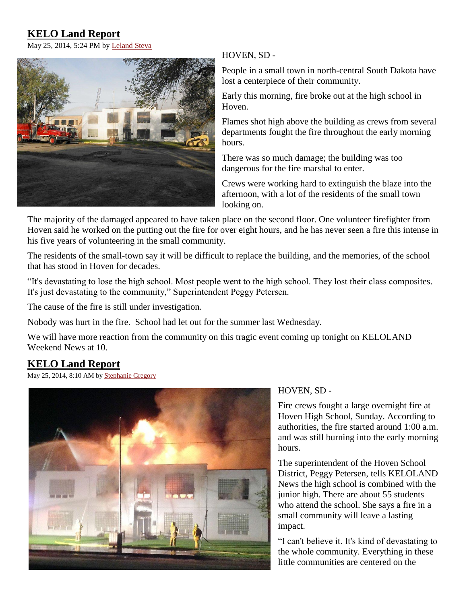## **KELO Land Report**

May 25, 2014, 5:24 PM b[y Leland Steva](mailto:lsteva@keloland.com)



#### HOVEN, SD -

People in a small town in north-central South Dakota have lost a centerpiece of their community.

Early this morning, fire broke out at the high school in Hoven.

Flames shot high above the building as crews from several departments fought the fire throughout the early morning hours.

There was so much damage; the building was too dangerous for the fire marshal to enter.

Crews were working hard to extinguish the blaze into the afternoon, with a lot of the residents of the small town looking on.

The majority of the damaged appeared to have taken place on the second floor. One volunteer firefighter from Hoven said he worked on the putting out the fire for over eight hours, and he has never seen a fire this intense in his five years of volunteering in the small community.

The residents of the small-town say it will be difficult to replace the building, and the memories, of the school that has stood in Hoven for decades.

"It's devastating to lose the high school. Most people went to the high school. They lost their class composites. It's just devastating to the community," Superintendent Peggy Petersen.

The cause of the fire is still under investigation.

Nobody was hurt in the fire. School had let out for the summer last Wednesday.

We will have more reaction from the community on this tragic event coming up tonight on KELOLAND Weekend News at 10.

### **KELO Land Report**

May 25, 2014, 8:10 AM by [Stephanie Gregory](mailto:sgregory@keloland.com)



#### HOVEN, SD -

Fire crews fought a large overnight fire at Hoven High School, Sunday. According to authorities, the fire started around 1:00 a.m. and was still burning into the early morning hours.

The superintendent of the Hoven School District, Peggy Petersen, tells KELOLAND News the high school is combined with the junior high. There are about 55 students who attend the school. She says a fire in a small community will leave a lasting impact.

"I can't believe it. It's kind of devastating to the whole community. Everything in these little communities are centered on the